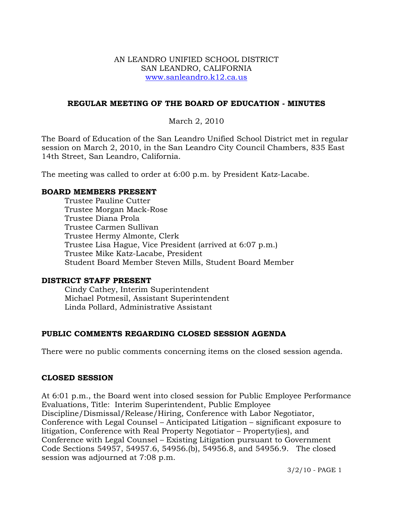### AN LEANDRO UNIFIED SCHOOL DISTRICT SAN LEANDRO, CALIFORNIA www.sanleandro.k12.ca.us

#### **REGULAR MEETING OF THE BOARD OF EDUCATION - MINUTES**

March 2, 2010

The Board of Education of the San Leandro Unified School District met in regular session on March 2, 2010, in the San Leandro City Council Chambers, 835 East 14th Street, San Leandro, California.

The meeting was called to order at 6:00 p.m. by President Katz-Lacabe.

#### **BOARD MEMBERS PRESENT**

Trustee Pauline Cutter Trustee Morgan Mack-Rose Trustee Diana Prola Trustee Carmen Sullivan Trustee Hermy Almonte, Clerk Trustee Lisa Hague, Vice President (arrived at 6:07 p.m.) Trustee Mike Katz-Lacabe, President Student Board Member Steven Mills, Student Board Member

#### **DISTRICT STAFF PRESENT**

Cindy Cathey, Interim Superintendent Michael Potmesil, Assistant Superintendent Linda Pollard, Administrative Assistant

## **PUBLIC COMMENTS REGARDING CLOSED SESSION AGENDA**

There were no public comments concerning items on the closed session agenda.

#### **CLOSED SESSION**

At 6:01 p.m., the Board went into closed session for Public Employee Performance Evaluations, Title: Interim Superintendent, Public Employee Discipline/Dismissal/Release/Hiring, Conference with Labor Negotiator, Conference with Legal Counsel – Anticipated Litigation – significant exposure to litigation, Conference with Real Property Negotiator – Property(ies), and Conference with Legal Counsel – Existing Litigation pursuant to Government Code Sections 54957, 54957.6, 54956.(b), 54956.8, and 54956.9. The closed session was adjourned at 7:08 p.m.

3/2/10 - PAGE 1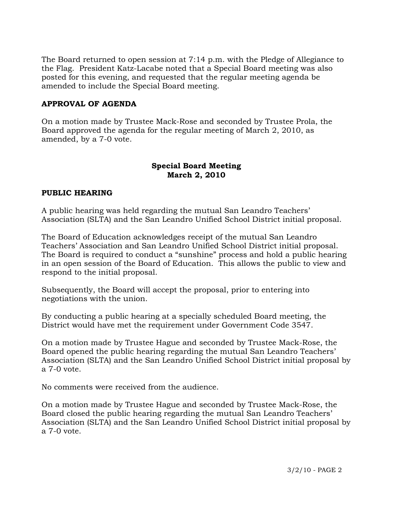The Board returned to open session at 7:14 p.m. with the Pledge of Allegiance to the Flag. President Katz-Lacabe noted that a Special Board meeting was also posted for this evening, and requested that the regular meeting agenda be amended to include the Special Board meeting.

# **APPROVAL OF AGENDA**

On a motion made by Trustee Mack-Rose and seconded by Trustee Prola, the Board approved the agenda for the regular meeting of March 2, 2010, as amended, by a 7-0 vote.

## **Special Board Meeting March 2, 2010**

## **PUBLIC HEARING**

A public hearing was held regarding the mutual San Leandro Teachers' Association (SLTA) and the San Leandro Unified School District initial proposal.

The Board of Education acknowledges receipt of the mutual San Leandro Teachers' Association and San Leandro Unified School District initial proposal. The Board is required to conduct a "sunshine" process and hold a public hearing in an open session of the Board of Education. This allows the public to view and respond to the initial proposal.

Subsequently, the Board will accept the proposal, prior to entering into negotiations with the union.

By conducting a public hearing at a specially scheduled Board meeting, the District would have met the requirement under Government Code 3547.

On a motion made by Trustee Hague and seconded by Trustee Mack-Rose, the Board opened the public hearing regarding the mutual San Leandro Teachers' Association (SLTA) and the San Leandro Unified School District initial proposal by a 7-0 vote.

No comments were received from the audience.

On a motion made by Trustee Hague and seconded by Trustee Mack-Rose, the Board closed the public hearing regarding the mutual San Leandro Teachers' Association (SLTA) and the San Leandro Unified School District initial proposal by a 7-0 vote.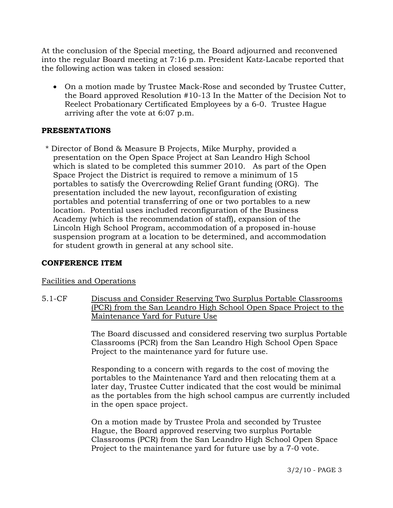At the conclusion of the Special meeting, the Board adjourned and reconvened into the regular Board meeting at 7:16 p.m. President Katz-Lacabe reported that the following action was taken in closed session:

• On a motion made by Trustee Mack-Rose and seconded by Trustee Cutter, the Board approved Resolution #10-13 In the Matter of the Decision Not to Reelect Probationary Certificated Employees by a 6-0. Trustee Hague arriving after the vote at 6:07 p.m.

## **PRESENTATIONS**

\* Director of Bond & Measure B Projects, Mike Murphy, provided a presentation on the Open Space Project at San Leandro High School which is slated to be completed this summer 2010. As part of the Open Space Project the District is required to remove a minimum of 15 portables to satisfy the Overcrowding Relief Grant funding (ORG). The presentation included the new layout, reconfiguration of existing portables and potential transferring of one or two portables to a new location. Potential uses included reconfiguration of the Business Academy (which is the recommendation of staff), expansion of the Lincoln High School Program, accommodation of a proposed in-house suspension program at a location to be determined, and accommodation for student growth in general at any school site.

## **CONFERENCE ITEM**

## Facilities and Operations

5.1-CF Discuss and Consider Reserving Two Surplus Portable Classrooms (PCR) from the San Leandro High School Open Space Project to the Maintenance Yard for Future Use

> The Board discussed and considered reserving two surplus Portable Classrooms (PCR) from the San Leandro High School Open Space Project to the maintenance yard for future use.

Responding to a concern with regards to the cost of moving the portables to the Maintenance Yard and then relocating them at a later day, Trustee Cutter indicated that the cost would be minimal as the portables from the high school campus are currently included in the open space project.

On a motion made by Trustee Prola and seconded by Trustee Hague, the Board approved reserving two surplus Portable Classrooms (PCR) from the San Leandro High School Open Space Project to the maintenance yard for future use by a 7-0 vote.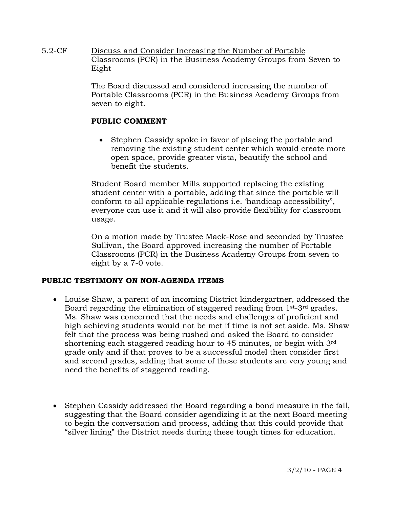5.2-CF Discuss and Consider Increasing the Number of Portable Classrooms (PCR) in the Business Academy Groups from Seven to Eight

> The Board discussed and considered increasing the number of Portable Classrooms (PCR) in the Business Academy Groups from seven to eight.

## **PUBLIC COMMENT**

• Stephen Cassidy spoke in favor of placing the portable and removing the existing student center which would create more open space, provide greater vista, beautify the school and benefit the students.

Student Board member Mills supported replacing the existing student center with a portable, adding that since the portable will conform to all applicable regulations i.e. 'handicap accessibility", everyone can use it and it will also provide flexibility for classroom usage.

On a motion made by Trustee Mack-Rose and seconded by Trustee Sullivan, the Board approved increasing the number of Portable Classrooms (PCR) in the Business Academy Groups from seven to eight by a 7-0 vote.

## **PUBLIC TESTIMONY ON NON-AGENDA ITEMS**

- Louise Shaw, a parent of an incoming District kindergartner, addressed the Board regarding the elimination of staggered reading from 1st-3rd grades. Ms. Shaw was concerned that the needs and challenges of proficient and high achieving students would not be met if time is not set aside. Ms. Shaw felt that the process was being rushed and asked the Board to consider shortening each staggered reading hour to 45 minutes, or begin with 3rd grade only and if that proves to be a successful model then consider first and second grades, adding that some of these students are very young and need the benefits of staggered reading.
- Stephen Cassidy addressed the Board regarding a bond measure in the fall, suggesting that the Board consider agendizing it at the next Board meeting to begin the conversation and process, adding that this could provide that "silver lining" the District needs during these tough times for education.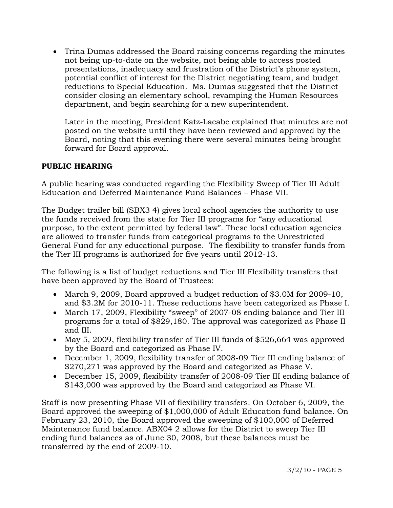• Trina Dumas addressed the Board raising concerns regarding the minutes not being up-to-date on the website, not being able to access posted presentations, inadequacy and frustration of the District's phone system, potential conflict of interest for the District negotiating team, and budget reductions to Special Education. Ms. Dumas suggested that the District consider closing an elementary school, revamping the Human Resources department, and begin searching for a new superintendent.

 Later in the meeting, President Katz-Lacabe explained that minutes are not posted on the website until they have been reviewed and approved by the Board, noting that this evening there were several minutes being brought forward for Board approval.

# **PUBLIC HEARING**

A public hearing was conducted regarding the Flexibility Sweep of Tier III Adult Education and Deferred Maintenance Fund Balances – Phase VII.

The Budget trailer bill (SBX3 4) gives local school agencies the authority to use the funds received from the state for Tier III programs for "any educational purpose, to the extent permitted by federal law". These local education agencies are allowed to transfer funds from categorical programs to the Unrestricted General Fund for any educational purpose. The flexibility to transfer funds from the Tier III programs is authorized for five years until 2012-13.

The following is a list of budget reductions and Tier III Flexibility transfers that have been approved by the Board of Trustees:

- March 9, 2009, Board approved a budget reduction of \$3.0M for 2009-10, and \$3.2M for 2010-11. These reductions have been categorized as Phase I.
- March 17, 2009, Flexibility "sweep" of 2007-08 ending balance and Tier III programs for a total of \$829,180. The approval was categorized as Phase II and III.
- May 5, 2009, flexibility transfer of Tier III funds of \$526,664 was approved by the Board and categorized as Phase IV.
- December 1, 2009, flexibility transfer of 2008-09 Tier III ending balance of \$270,271 was approved by the Board and categorized as Phase V.
- December 15, 2009, flexibility transfer of 2008-09 Tier III ending balance of \$143,000 was approved by the Board and categorized as Phase VI.

Staff is now presenting Phase VII of flexibility transfers*.* On October 6, 2009, the Board approved the sweeping of \$1,000,000 of Adult Education fund balance. On February 23, 2010, the Board approved the sweeping of \$100,000 of Deferred Maintenance fund balance. ABX04 2 allows for the District to sweep Tier III ending fund balances as of June 30, 2008, but these balances must be transferred by the end of 2009-10.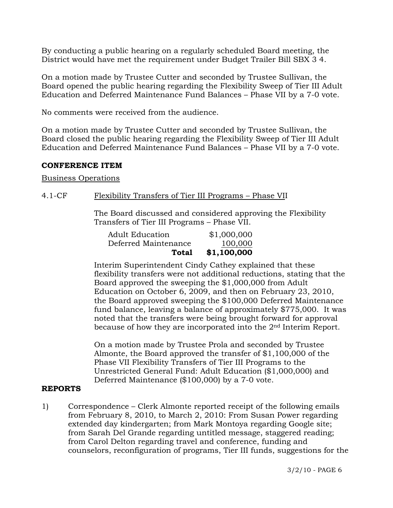By conducting a public hearing on a regularly scheduled Board meeting, the District would have met the requirement under Budget Trailer Bill SBX 3 4.

On a motion made by Trustee Cutter and seconded by Trustee Sullivan, the Board opened the public hearing regarding the Flexibility Sweep of Tier III Adult Education and Deferred Maintenance Fund Balances – Phase VII by a 7-0 vote.

No comments were received from the audience.

On a motion made by Trustee Cutter and seconded by Trustee Sullivan, the Board closed the public hearing regarding the Flexibility Sweep of Tier III Adult Education and Deferred Maintenance Fund Balances – Phase VII by a 7-0 vote.

#### **CONFERENCE ITEM**

Business Operations

### 4.1-CF Flexibility Transfers of Tier III Programs – Phase VII

The Board discussed and considered approving the Flexibility Transfers of Tier III Programs – Phase VII.

| Total                  | \$1,100,000 |
|------------------------|-------------|
| Deferred Maintenance   | 100,000     |
| <b>Adult Education</b> | \$1,000,000 |

Interim Superintendent Cindy Cathey explained that these flexibility transfers were not additional reductions, stating that the Board approved the sweeping the \$1,000,000 from Adult Education on October 6, 2009, and then on February 23, 2010, the Board approved sweeping the \$100,000 Deferred Maintenance fund balance, leaving a balance of approximately \$775,000. It was noted that the transfers were being brought forward for approval because of how they are incorporated into the 2<sup>nd</sup> Interim Report.

On a motion made by Trustee Prola and seconded by Trustee Almonte, the Board approved the transfer of \$1,100,000 of the Phase VII Flexibility Transfers of Tier III Programs to the Unrestricted General Fund: Adult Education (\$1,000,000) and Deferred Maintenance (\$100,000) by a 7-0 vote.

### **REPORTS**

1) Correspondence – Clerk Almonte reported receipt of the following emails from February 8, 2010, to March 2, 2010: From Susan Power regarding extended day kindergarten; from Mark Montoya regarding Google site; from Sarah Del Grande regarding untitled message, staggered reading; from Carol Delton regarding travel and conference, funding and counselors, reconfiguration of programs, Tier III funds, suggestions for the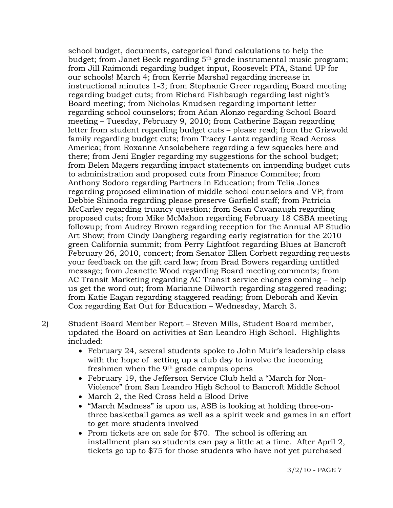school budget, documents, categorical fund calculations to help the budget; from Janet Beck regarding 5th grade instrumental music program; from Jill Raimondi regarding budget input, Roosevelt PTA, Stand UP for our schools! March 4; from Kerrie Marshal regarding increase in instructional minutes 1-3; from Stephanie Greer regarding Board meeting regarding budget cuts; from Richard Fishbaugh regarding last night's Board meeting; from Nicholas Knudsen regarding important letter regarding school counselors; from Adan Alonzo regarding School Board meeting – Tuesday, February 9, 2010; from Catherine Eagan regarding letter from student regarding budget cuts – please read; from the Griswold family regarding budget cuts; from Tracey Lantz regarding Read Across America; from Roxanne Ansolabehere regarding a few squeaks here and there; from Jeni Engler regarding my suggestions for the school budget; from Belen Magers regarding impact statements on impending budget cuts to administration and proposed cuts from Finance Commitee; from Anthony Sodoro regarding Partners in Education; from Telia Jones regarding proposed elimination of middle school counselors and VP; from Debbie Shinoda regarding please preserve Garfield staff; from Patricia McCarley regarding truancy question; from Sean Cavanaugh regarding proposed cuts; from Mike McMahon regarding February 18 CSBA meeting followup; from Audrey Brown regarding reception for the Annual AP Studio Art Show; from Cindy Dangberg regarding early registration for the 2010 green California summit; from Perry Lightfoot regarding Blues at Bancroft February 26, 2010, concert; from Senator Ellen Corbett regarding requests your feedback on the gift card law; from Brad Bowers regarding untitled message; from Jeanette Wood regarding Board meeting comments; from AC Transit Marketing regarding AC Transit service changes coming – help us get the word out; from Marianne Dilworth regarding staggered reading; from Katie Eagan regarding staggered reading; from Deborah and Kevin Cox regarding Eat Out for Education – Wednesday, March 3.

- 2) Student Board Member Report Steven Mills, Student Board member, updated the Board on activities at San Leandro High School. Highlights included:
	- February 24, several students spoke to John Muir's leadership class with the hope of setting up a club day to involve the incoming freshmen when the 9th grade campus opens
	- February 19, the Jefferson Service Club held a "March for Non-Violence" from San Leandro High School to Bancroft Middle School
	- March 2, the Red Cross held a Blood Drive
	- "March Madness" is upon us, ASB is looking at holding three-onthree basketball games as well as a spirit week and games in an effort to get more students involved
	- Prom tickets are on sale for \$70. The school is offering an installment plan so students can pay a little at a time. After April 2, tickets go up to \$75 for those students who have not yet purchased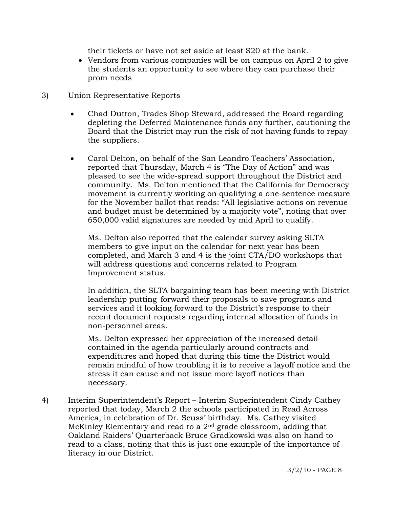their tickets or have not set aside at least \$20 at the bank.

- Vendors from various companies will be on campus on April 2 to give the students an opportunity to see where they can purchase their prom needs
- 3) Union Representative Reports
	- Chad Dutton, Trades Shop Steward, addressed the Board regarding depleting the Deferred Maintenance funds any further, cautioning the Board that the District may run the risk of not having funds to repay the suppliers.
	- Carol Delton, on behalf of the San Leandro Teachers' Association, reported that Thursday, March 4 is "The Day of Action" and was pleased to see the wide-spread support throughout the District and community. Ms. Delton mentioned that the California for Democracy movement is currently working on qualifying a one-sentence measure for the November ballot that reads: "All legislative actions on revenue and budget must be determined by a majority vote", noting that over 650,000 valid signatures are needed by mid April to qualify.

 Ms. Delton also reported that the calendar survey asking SLTA members to give input on the calendar for next year has been completed, and March 3 and 4 is the joint CTA/DO workshops that will address questions and concerns related to Program Improvement status.

 In addition, the SLTA bargaining team has been meeting with District leadership putting forward their proposals to save programs and services and it looking forward to the District's response to their recent document requests regarding internal allocation of funds in non-personnel areas.

 Ms. Delton expressed her appreciation of the increased detail contained in the agenda particularly around contracts and expenditures and hoped that during this time the District would remain mindful of how troubling it is to receive a layoff notice and the stress it can cause and not issue more layoff notices than necessary.

4) Interim Superintendent's Report – Interim Superintendent Cindy Cathey reported that today, March 2 the schools participated in Read Across America, in celebration of Dr. Seuss' birthday. Ms. Cathey visited McKinley Elementary and read to a 2nd grade classroom, adding that Oakland Raiders' Quarterback Bruce Gradkowski was also on hand to read to a class, noting that this is just one example of the importance of literacy in our District.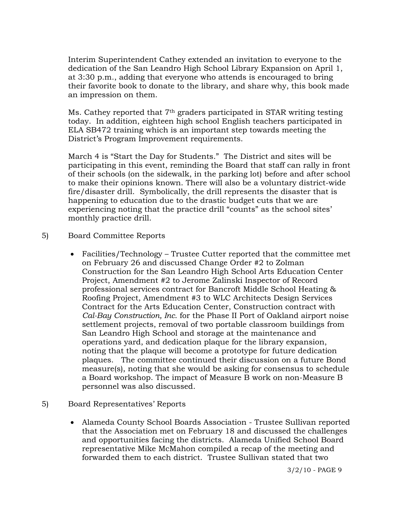Interim Superintendent Cathey extended an invitation to everyone to the dedication of the San Leandro High School Library Expansion on April 1, at 3:30 p.m., adding that everyone who attends is encouraged to bring their favorite book to donate to the library, and share why, this book made an impression on them.

Ms. Cathey reported that 7th graders participated in STAR writing testing today. In addition, eighteen high school English teachers participated in ELA SB472 training which is an important step towards meeting the District's Program Improvement requirements.

March 4 is "Start the Day for Students." The District and sites will be participating in this event, reminding the Board that staff can rally in front of their schools (on the sidewalk, in the parking lot) before and after school to make their opinions known. There will also be a voluntary district-wide fire/disaster drill. Symbolically, the drill represents the disaster that is happening to education due to the drastic budget cuts that we are experiencing noting that the practice drill "counts" as the school sites' monthly practice drill.

- 5) Board Committee Reports
	- Facilities/Technology Trustee Cutter reported that the committee met on February 26 and discussed Change Order #2 to Zolman Construction for the San Leandro High School Arts Education Center Project, Amendment #2 to Jerome Zalinski Inspector of Record professional services contract for Bancroft Middle School Heating & Roofing Project, Amendment #3 to WLC Architects Design Services Contract for the Arts Education Center, Construction contract with *Cal-Bay Construction, Inc*. for the Phase II Port of Oakland airport noise settlement projects, removal of two portable classroom buildings from San Leandro High School and storage at the maintenance and operations yard, and dedication plaque for the library expansion, noting that the plaque will become a prototype for future dedication plaques. The committee continued their discussion on a future Bond measure(s), noting that she would be asking for consensus to schedule a Board workshop. The impact of Measure B work on non-Measure B personnel was also discussed.
- 5) Board Representatives' Reports
	- Alameda County School Boards Association Trustee Sullivan reported that the Association met on February 18 and discussed the challenges and opportunities facing the districts. Alameda Unified School Board representative Mike McMahon compiled a recap of the meeting and forwarded them to each district. Trustee Sullivan stated that two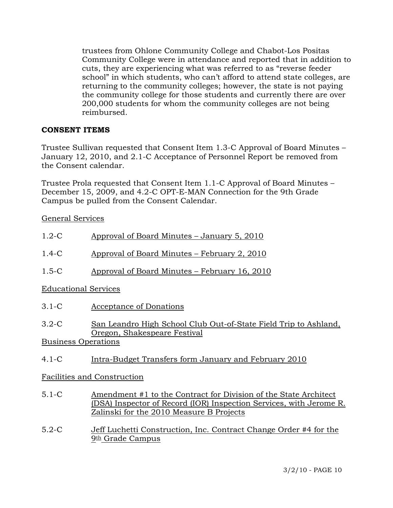trustees from Ohlone Community College and Chabot-Los Positas Community College were in attendance and reported that in addition to cuts, they are experiencing what was referred to as "reverse feeder school" in which students, who can't afford to attend state colleges, are returning to the community colleges; however, the state is not paying the community college for those students and currently there are over 200,000 students for whom the community colleges are not being reimbursed.

## **CONSENT ITEMS**

Trustee Sullivan requested that Consent Item 1.3-C Approval of Board Minutes – January 12, 2010, and 2.1-C Acceptance of Personnel Report be removed from the Consent calendar.

Trustee Prola requested that Consent Item 1.1-C Approval of Board Minutes – December 15, 2009, and 4.2-C OPT-E-MAN Connection for the 9th Grade Campus be pulled from the Consent Calendar.

General Services

| $1.2-C$                     | Approval of Board Minutes – January 5, 2010                                                      |  |  |  |
|-----------------------------|--------------------------------------------------------------------------------------------------|--|--|--|
| $1.4 - C$                   | Approval of Board Minutes – February 2, 2010                                                     |  |  |  |
| $1.5 - C$                   | Approval of Board Minutes – February 16, 2010                                                    |  |  |  |
| <b>Educational Services</b> |                                                                                                  |  |  |  |
| $3.1-C$                     | Acceptance of Donations                                                                          |  |  |  |
| $3.2-C$                     | San Leandro High School Club Out-of-State Field Trip to Ashland,<br>Oregon, Shakespeare Festival |  |  |  |
| <b>Business Operations</b>  |                                                                                                  |  |  |  |
| $4.1 - C$                   | Intra-Budget Transfers form January and February 2010                                            |  |  |  |

# Facilities and Construction

- 5.1-C Amendment #1 to the Contract for Division of the State Architect (DSA) Inspector of Record (IOR) Inspection Services, with Jerome R. Zalinski for the 2010 Measure B Projects
- 5.2-C Jeff Luchetti Construction, Inc. Contract Change Order #4 for the 9th Grade Campus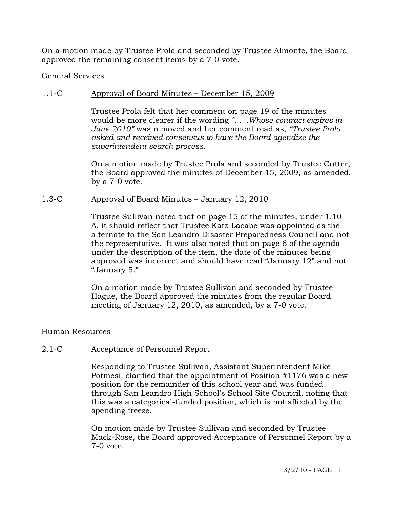On a motion made by Trustee Prola and seconded by Trustee Almonte, the Board approved the remaining consent items by a 7-0 vote.

### General Services

## 1.1-C Approval of Board Minutes – December 15, 2009

Trustee Prola felt that her comment on page 19 of the minutes would be more clearer if the wording *". . .Whose contract expires in June 2010"* was removed and her comment read as, *"Trustee Prola asked and received consensus to have the Board agendize the superintendent search process.* 

On a motion made by Trustee Prola and seconded by Trustee Cutter, the Board approved the minutes of December 15, 2009, as amended, by a 7-0 vote.

### 1.3-C Approval of Board Minutes – January 12, 2010

Trustee Sullivan noted that on page 15 of the minutes, under 1.10- A, it should reflect that Trustee Katz-Lacabe was appointed as the alternate to the San Leandro Disaster Preparedness Council and not the representative. It was also noted that on page 6 of the agenda under the description of the item, the date of the minutes being approved was incorrect and should have read "January 12" and not "January 5."

On a motion made by Trustee Sullivan and seconded by Trustee Hague, the Board approved the minutes from the regular Board meeting of January 12, 2010, as amended, by a 7-0 vote.

## Human Resources

## 2.1-C Acceptance of Personnel Report

Responding to Trustee Sullivan, Assistant Superintendent Mike Potmesil clarified that the appointment of Position #1176 was a new position for the remainder of this school year and was funded through San Leandro High School's School Site Council, noting that this was a categorical-funded position, which is not affected by the spending freeze.

On motion made by Trustee Sullivan and seconded by Trustee Mack-Rose, the Board approved Acceptance of Personnel Report by a 7-0 vote.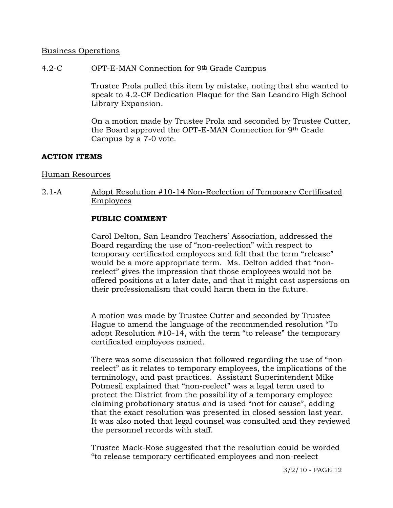### Business Operations

### 4.2-C OPT-E-MAN Connection for 9th Grade Campus

Trustee Prola pulled this item by mistake, noting that she wanted to speak to 4.2-CF Dedication Plaque for the San Leandro High School Library Expansion.

On a motion made by Trustee Prola and seconded by Trustee Cutter, the Board approved the OPT-E-MAN Connection for 9th Grade Campus by a 7-0 vote.

## **ACTION ITEMS**

#### Human Resources

2.1-A Adopt Resolution #10-14 Non-Reelection of Temporary Certificated Employees

#### **PUBLIC COMMENT**

Carol Delton, San Leandro Teachers' Association, addressed the Board regarding the use of "non-reelection" with respect to temporary certificated employees and felt that the term "release" would be a more appropriate term. Ms. Delton added that "nonreelect" gives the impression that those employees would not be offered positions at a later date, and that it might cast aspersions on their professionalism that could harm them in the future.

A motion was made by Trustee Cutter and seconded by Trustee Hague to amend the language of the recommended resolution "To adopt Resolution #10-14, with the term "to release" the temporary certificated employees named.

There was some discussion that followed regarding the use of "nonreelect" as it relates to temporary employees, the implications of the terminology, and past practices. Assistant Superintendent Mike Potmesil explained that "non-reelect" was a legal term used to protect the District from the possibility of a temporary employee claiming probationary status and is used "not for cause", adding that the exact resolution was presented in closed session last year. It was also noted that legal counsel was consulted and they reviewed the personnel records with staff.

Trustee Mack-Rose suggested that the resolution could be worded "to release temporary certificated employees and non-reelect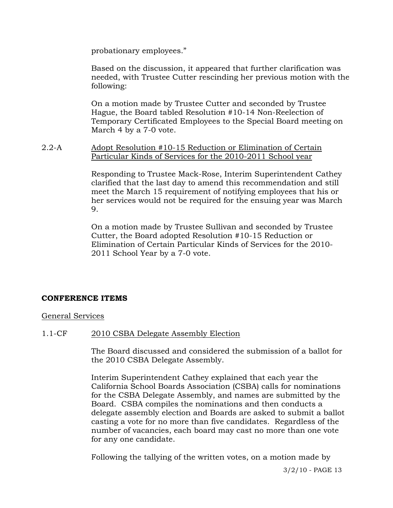probationary employees."

Based on the discussion, it appeared that further clarification was needed, with Trustee Cutter rescinding her previous motion with the following:

On a motion made by Trustee Cutter and seconded by Trustee Hague, the Board tabled Resolution #10-14 Non-Reelection of Temporary Certificated Employees to the Special Board meeting on March 4 by a 7-0 vote.

2.2-A Adopt Resolution #10-15 Reduction or Elimination of Certain Particular Kinds of Services for the 2010-2011 School year

> Responding to Trustee Mack-Rose, Interim Superintendent Cathey clarified that the last day to amend this recommendation and still meet the March 15 requirement of notifying employees that his or her services would not be required for the ensuing year was March 9.

On a motion made by Trustee Sullivan and seconded by Trustee Cutter, the Board adopted Resolution #10-15 Reduction or Elimination of Certain Particular Kinds of Services for the 2010- 2011 School Year by a 7-0 vote.

## **CONFERENCE ITEMS**

General Services

#### 1.1-CF 2010 CSBA Delegate Assembly Election

The Board discussed and considered the submission of a ballot for the 2010 CSBA Delegate Assembly.

Interim Superintendent Cathey explained that each year the California School Boards Association (CSBA) calls for nominations for the CSBA Delegate Assembly, and names are submitted by the Board. CSBA compiles the nominations and then conducts a delegate assembly election and Boards are asked to submit a ballot casting a vote for no more than five candidates. Regardless of the number of vacancies, each board may cast no more than one vote for any one candidate.

Following the tallying of the written votes, on a motion made by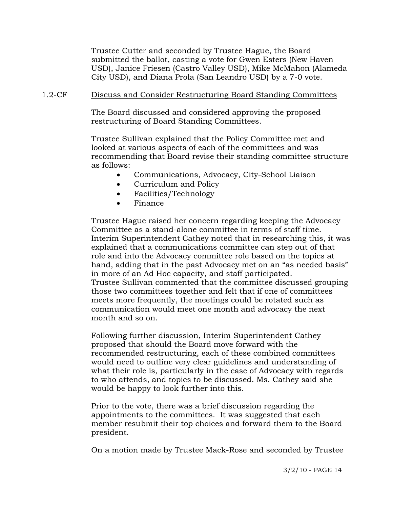Trustee Cutter and seconded by Trustee Hague, the Board submitted the ballot, casting a vote for Gwen Esters (New Haven USD), Janice Friesen (Castro Valley USD), Mike McMahon (Alameda City USD), and Diana Prola (San Leandro USD) by a 7-0 vote.

### 1.2-CF Discuss and Consider Restructuring Board Standing Committees

The Board discussed and considered approving the proposed restructuring of Board Standing Committees.

Trustee Sullivan explained that the Policy Committee met and looked at various aspects of each of the committees and was recommending that Board revise their standing committee structure as follows:

- Communications, Advocacy, City-School Liaison
- Curriculum and Policy
- Facilities/Technology
- Finance

Trustee Hague raised her concern regarding keeping the Advocacy Committee as a stand-alone committee in terms of staff time. Interim Superintendent Cathey noted that in researching this, it was explained that a communications committee can step out of that role and into the Advocacy committee role based on the topics at hand, adding that in the past Advocacy met on an "as needed basis" in more of an Ad Hoc capacity, and staff participated. Trustee Sullivan commented that the committee discussed grouping those two committees together and felt that if one of committees meets more frequently, the meetings could be rotated such as communication would meet one month and advocacy the next month and so on.

Following further discussion, Interim Superintendent Cathey proposed that should the Board move forward with the recommended restructuring, each of these combined committees would need to outline very clear guidelines and understanding of what their role is, particularly in the case of Advocacy with regards to who attends, and topics to be discussed. Ms. Cathey said she would be happy to look further into this.

Prior to the vote, there was a brief discussion regarding the appointments to the committees. It was suggested that each member resubmit their top choices and forward them to the Board president.

On a motion made by Trustee Mack-Rose and seconded by Trustee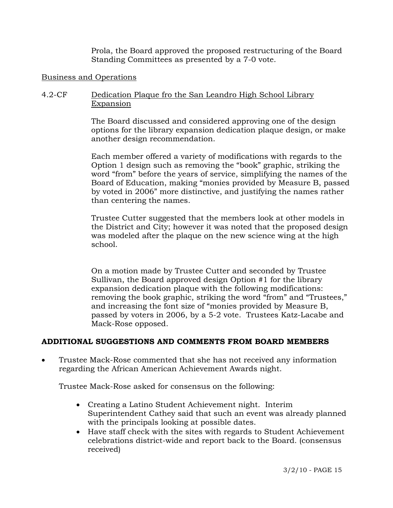Prola, the Board approved the proposed restructuring of the Board Standing Committees as presented by a 7-0 vote.

## Business and Operations

# 4.2-CF Dedication Plaque fro the San Leandro High School Library Expansion

The Board discussed and considered approving one of the design options for the library expansion dedication plaque design, or make another design recommendation.

Each member offered a variety of modifications with regards to the Option 1 design such as removing the "book" graphic, striking the word "from" before the years of service, simplifying the names of the Board of Education, making "monies provided by Measure B, passed by voted in 2006" more distinctive, and justifying the names rather than centering the names.

Trustee Cutter suggested that the members look at other models in the District and City; however it was noted that the proposed design was modeled after the plaque on the new science wing at the high school.

On a motion made by Trustee Cutter and seconded by Trustee Sullivan, the Board approved design Option #1 for the library expansion dedication plaque with the following modifications: removing the book graphic, striking the word "from" and "Trustees," and increasing the font size of "monies provided by Measure B, passed by voters in 2006, by a 5-2 vote. Trustees Katz-Lacabe and Mack-Rose opposed.

## **ADDITIONAL SUGGESTIONS AND COMMENTS FROM BOARD MEMBERS**

• Trustee Mack-Rose commented that she has not received any information regarding the African American Achievement Awards night.

Trustee Mack-Rose asked for consensus on the following:

- Creating a Latino Student Achievement night. Interim Superintendent Cathey said that such an event was already planned with the principals looking at possible dates.
- Have staff check with the sites with regards to Student Achievement celebrations district-wide and report back to the Board. (consensus received)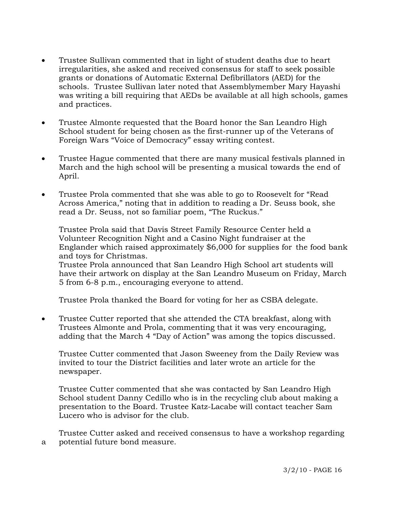- Trustee Sullivan commented that in light of student deaths due to heart irregularities, she asked and received consensus for staff to seek possible grants or donations of Automatic External Defibrillators (AED) for the schools. Trustee Sullivan later noted that Assemblymember Mary Hayashi was writing a bill requiring that AEDs be available at all high schools, games and practices.
- Trustee Almonte requested that the Board honor the San Leandro High School student for being chosen as the first-runner up of the Veterans of Foreign Wars "Voice of Democracy" essay writing contest.
- Trustee Hague commented that there are many musical festivals planned in March and the high school will be presenting a musical towards the end of April.
- Trustee Prola commented that she was able to go to Roosevelt for "Read" Across America," noting that in addition to reading a Dr. Seuss book, she read a Dr. Seuss, not so familiar poem, "The Ruckus."

 Trustee Prola said that Davis Street Family Resource Center held a Volunteer Recognition Night and a Casino Night fundraiser at the Englander which raised approximately \$6,000 for supplies for the food bank and toys for Christmas.

 Trustee Prola announced that San Leandro High School art students will have their artwork on display at the San Leandro Museum on Friday, March 5 from 6-8 p.m., encouraging everyone to attend.

Trustee Prola thanked the Board for voting for her as CSBA delegate.

• Trustee Cutter reported that she attended the CTA breakfast, along with Trustees Almonte and Prola, commenting that it was very encouraging, adding that the March 4 "Day of Action" was among the topics discussed.

 Trustee Cutter commented that Jason Sweeney from the Daily Review was invited to tour the District facilities and later wrote an article for the newspaper.

 Trustee Cutter commented that she was contacted by San Leandro High School student Danny Cedillo who is in the recycling club about making a presentation to the Board. Trustee Katz-Lacabe will contact teacher Sam Lucero who is advisor for the club.

 Trustee Cutter asked and received consensus to have a workshop regarding a potential future bond measure.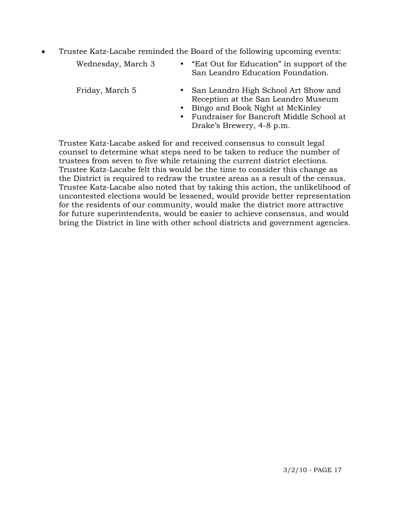• Trustee Katz-Lacabe reminded the Board of the following upcoming events:

| Wednesday, March 3 | "Eat Out for Education" in support of the<br>San Leandro Education Foundation. |
|--------------------|--------------------------------------------------------------------------------|
| Friday, March 5    | • San Leandro High School Art Show and<br>Reception at the San Leandro Museum  |

- Bingo and Book Night at McKinley
- y Fundraiser for Bancroft Middle School at Drake's Brewery, 4-8 p.m.

 Trustee Katz-Lacabe asked for and received consensus to consult legal counsel to determine what steps need to be taken to reduce the number of trustees from seven to five while retaining the current district elections. Trustee Katz-Lacabe felt this would be the time to consider this change as the District is required to redraw the trustee areas as a result of the census. Trustee Katz-Lacabe also noted that by taking this action, the unlikelihood of uncontested elections would be lessened, would provide better representation for the residents of our community, would make the district more attractive for future superintendents, would be easier to achieve consensus, and would bring the District in line with other school districts and government agencies.